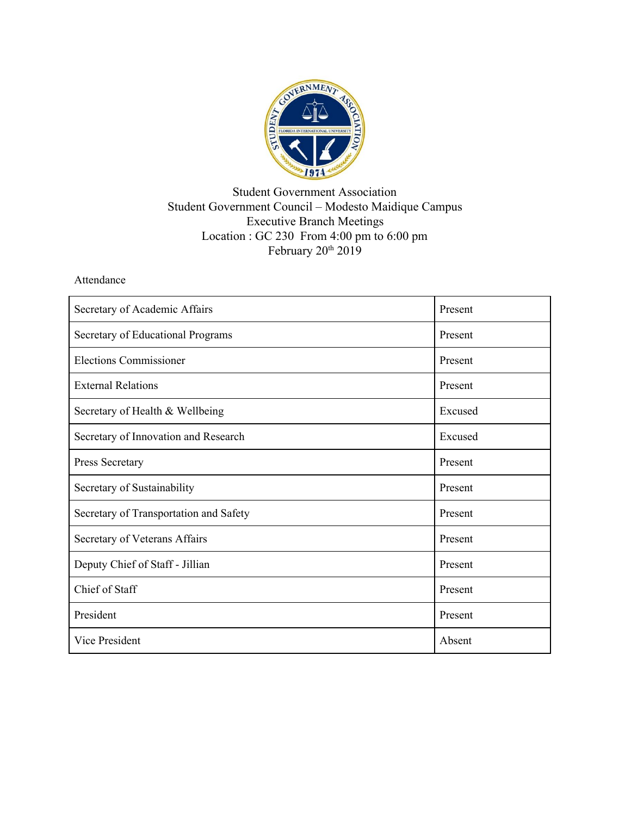

## Student Government Association Student Government Council – Modesto Maidique Campus Executive Branch Meetings Location : GC 230 From 4:00 pm to 6:00 pm February 20<sup>th</sup> 2019

## Attendance

| Secretary of Academic Affairs          | Present |
|----------------------------------------|---------|
| Secretary of Educational Programs      | Present |
| <b>Elections Commissioner</b>          | Present |
| <b>External Relations</b>              | Present |
| Secretary of Health & Wellbeing        | Excused |
| Secretary of Innovation and Research   | Excused |
| Press Secretary                        | Present |
| Secretary of Sustainability            | Present |
| Secretary of Transportation and Safety | Present |
| Secretary of Veterans Affairs          | Present |
| Deputy Chief of Staff - Jillian        | Present |
| Chief of Staff                         | Present |
| President                              | Present |
| <b>Vice President</b>                  | Absent  |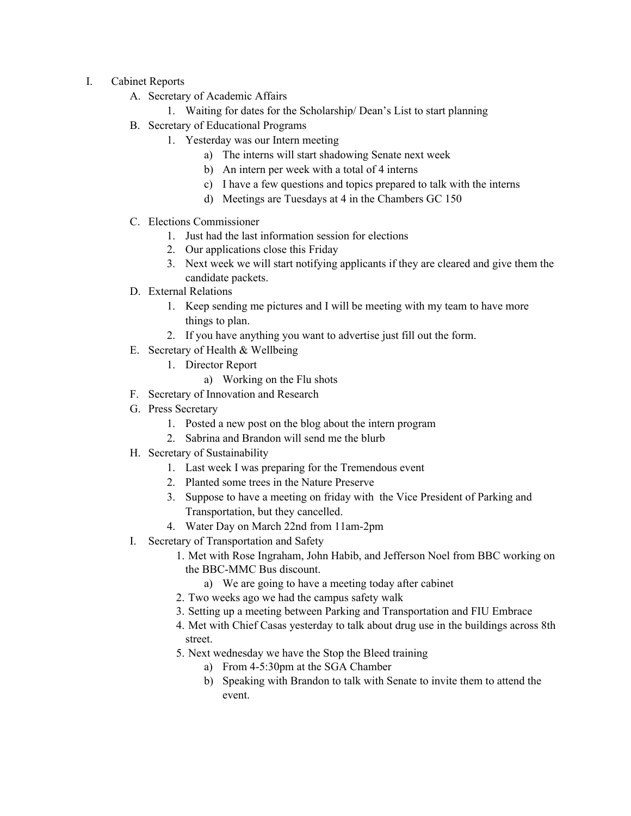- I. Cabinet Reports
	- A. Secretary of Academic Affairs
		- 1. Waiting for dates for the Scholarship/ Dean's List to start planning
	- B. Secretary of Educational Programs
		- 1. Yesterday was our Intern meeting
			- a) The interns will start shadowing Senate next week
			- b) An intern per week with a total of 4 interns
			- c) I have a few questions and topics prepared to talk with the interns
			- d) Meetings are Tuesdays at 4 in the Chambers GC 150
	- C. Elections Commissioner
		- 1. Just had the last information session for elections
		- 2. Our applications close this Friday
		- 3. Next week we will start notifying applicants if they are cleared and give them the candidate packets.
	- D. External Relations
		- 1. Keep sending me pictures and I will be meeting with my team to have more things to plan.
		- 2. If you have anything you want to advertise just fill out the form.
	- E. Secretary of Health & Wellbeing
		- 1. Director Report
			- a) Working on the Flu shots
	- F. Secretary of Innovation and Research
	- G. Press Secretary
		- 1. Posted a new post on the blog about the intern program
		- 2. Sabrina and Brandon will send me the blurb
	- H. Secretary of Sustainability
		- 1. Last week I was preparing for the Tremendous event
		- 2. Planted some trees in the Nature Preserve
		- 3. Suppose to have a meeting on friday with the Vice President of Parking and Transportation, but they cancelled.
		- 4. Water Day on March 22nd from 11am-2pm
	- I. Secretary of Transportation and Safety
		- 1. Met with Rose Ingraham, John Habib, and Jefferson Noel from BBC working on the BBC-MMC Bus discount.
			- a) We are going to have a meeting today after cabinet
		- 2. Two weeks ago we had the campus safety walk
		- 3. Setting up a meeting between Parking and Transportation and FIU Embrace
		- 4. Met with Chief Casas yesterday to talk about drug use in the buildings across 8th street.
		- 5. Next wednesday we have the Stop the Bleed training
			- a) From 4-5:30pm at the SGA Chamber
			- b) Speaking with Brandon to talk with Senate to invite them to attend the event.